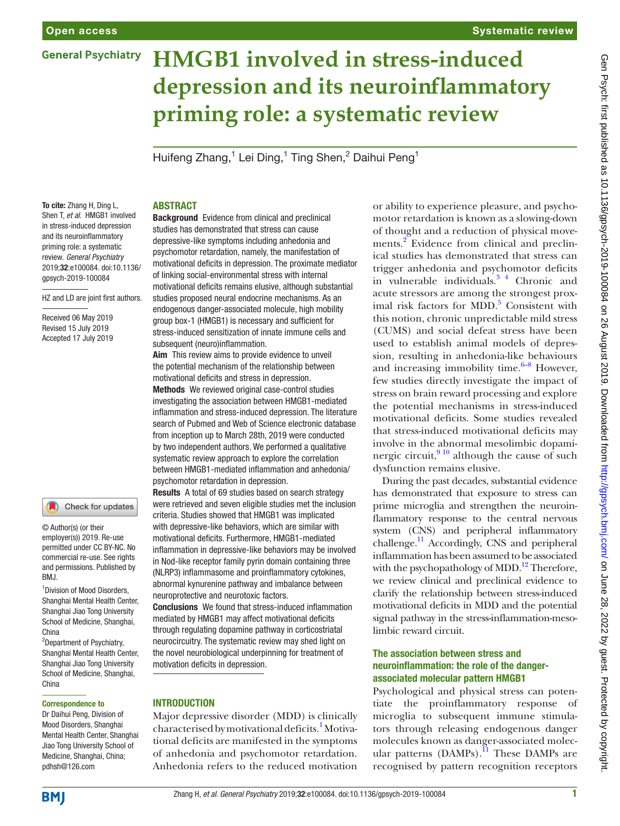#### Systematic review

# **HMGB1 involved in stress-induced depression and its neuroinflammatory priming role: a systematic review**

Huifeng Zhang,<sup>1</sup> Lei Ding,<sup>1</sup> Ting Shen,<sup>2</sup> Daihui Peng<sup>1</sup>

To cite: Zhang H, Ding L, Shen T, *et al*. HMGB1 involved in stress-induced depression and its neuroinflammatory priming role: a systematic review. *General Psychiatry* 2019;32:e100084. doi:10.1136/ gpsych-2019-100084

HZ and LD are joint first authors.

Received 06 May 2019 Revised 15 July 2019 Accepted 17 July 2019

#### Check for updates

© Author(s) (or their employer(s)) 2019. Re-use permitted under CC BY-NC. No commercial re-use. See rights and permissions. Published by BMJ.

1 Division of Mood Disorders, Shanghai Mental Health Center, Shanghai Jiao Tong University School of Medicine, Shanghai, China

2 Department of Psychiatry, Shanghai Mental Health Center, Shanghai Jiao Tong University School of Medicine, Shanghai, China

#### Correspondence to

Dr Daihui Peng, Division of Mood Disorders, Shanghai Mental Health Center, Shanghai Jiao Tong University School of Medicine, Shanghai, China; pdhsh@126.com

#### **ABSTRACT**

Background Evidence from clinical and preclinical studies has demonstrated that stress can cause depressive-like symptoms including anhedonia and psychomotor retardation, namely, the manifestation of motivational deficits in depression. The proximate mediator of linking social-environmental stress with internal motivational deficits remains elusive, although substantial studies proposed neural endocrine mechanisms. As an endogenous danger-associated molecule, high mobility group box-1 (HMGB1) is necessary and sufficient for stress-induced sensitization of innate immune cells and subsequent (neuro)inflammation.

Aim This review aims to provide evidence to unveil the potential mechanism of the relationship between motivational deficits and stress in depression. Methods We reviewed original case-control studies investigating the association between HMGB1-mediated inflammation and stress-induced depression. The literature search of Pubmed and Web of Science electronic database from inception up to March 28th, 2019 were conducted by two independent authors. We performed a qualitative systematic review approach to explore the correlation between HMGB1-mediated inflammation and anhedonia/ psychomotor retardation in depression.

Results A total of 69 studies based on search strategy were retrieved and seven eligible studies met the inclusion criteria. Studies showed that HMGB1 was implicated with depressive-like behaviors, which are similar with motivational deficits. Furthermore, HMGB1-mediated inflammation in depressive-like behaviors may be involved in Nod-like receptor family pyrin domain containing three (NLRP3) inflammasome and proinflammatory cytokines, abnormal kynurenine pathway and imbalance between neuroprotective and neurotoxic factors.

Conclusions We found that stress-induced inflammation mediated by HMGB1 may affect motivational deficits through regulating dopamine pathway in corticostriatal neurocircuitry. The systematic review may shed light on the novel neurobiological underpinning for treatment of motivation deficits in depression.

#### **INTRODUCTION**

Major depressive disorder (MDD) is clinically characterised by motivational deficits.<sup>[1](#page-6-0)</sup> Motivational deficits are manifested in the symptoms of anhedonia and psychomotor retardation. Anhedonia refers to the reduced motivation

or ability to experience pleasure, and psychomotor retardation is known as a slowing-down of thought and a reduction of physical movements.<sup>2</sup> Evidence from clinical and preclinical studies has demonstrated that stress can trigger anhedonia and psychomotor deficits in vulnerable individuals.[3 4](#page-6-2) Chronic and acute stressors are among the strongest prox-imal risk factors for MDD.<sup>[5](#page-6-3)</sup> Consistent with this notion, chronic unpredictable mild stress (CUMS) and social defeat stress have been used to establish animal models of depression, resulting in anhedonia-like behaviours and increasing immobility time. $6-8$  However, few studies directly investigate the impact of stress on brain reward processing and explore the potential mechanisms in stress-induced motivational deficits. Some studies revealed that stress-induced motivational deficits may involve in the abnormal mesolimbic dopaminergic circuit, $910$  although the cause of such dysfunction remains elusive.

During the past decades, substantial evidence has demonstrated that exposure to stress can prime microglia and strengthen the neuroinflammatory response to the central nervous system (CNS) and peripheral inflammatory challenge.<sup>11</sup> Accordingly, CNS and peripheral inflammation has been assumed to be associated with the psychopathology of MDD.<sup>12</sup> Therefore, we review clinical and preclinical evidence to clarify the relationship between stress-induced motivational deficits in MDD and the potential signal pathway in the stress-inflammation-mesolimbic reward circuit.

#### The association between stress and neuroinflammation: the role of the dangerassociated molecular pattern HMGB1

Psychological and physical stress can potentiate the proinflammatory response of microglia to subsequent immune stimulators through releasing endogenous danger molecules known as danger-associated molecular patterns (DAMPs).<sup>11</sup> These DAMPs are recognised by pattern recognition receptors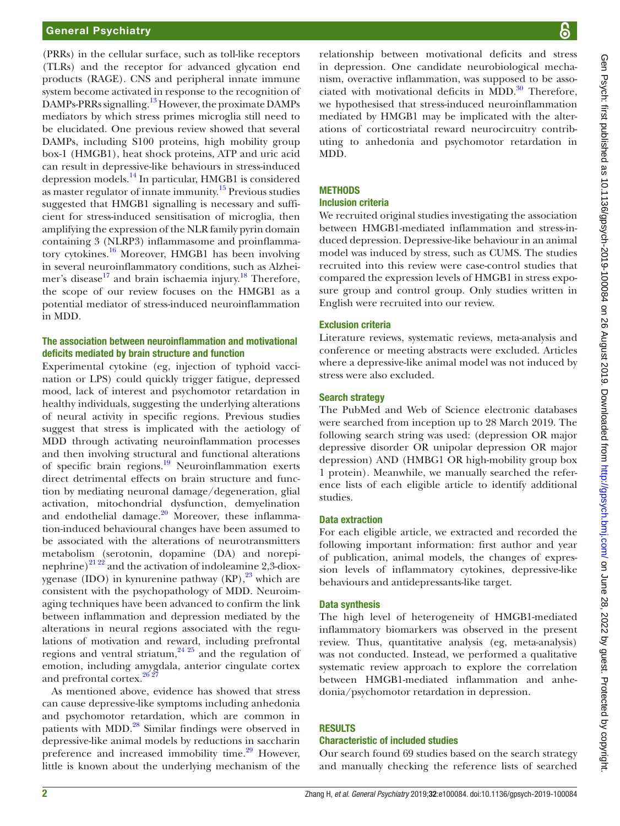(PRRs) in the cellular surface, such as toll-like receptors (TLRs) and the receptor for advanced glycation end products (RAGE). CNS and peripheral innate immune system become activated in response to the recognition of DAMPs-PRRs signalling.[13](#page-7-2) However, the proximate DAMPs mediators by which stress primes microglia still need to be elucidated. One previous review showed that several DAMPs, including S100 proteins, high mobility group box-1 (HMGB1), heat shock proteins, ATP and uric acid can result in depressive-like behaviours in stress-induced depression models[.14](#page-7-3) In particular, HMGB1 is considered as master regulator of innate immunity.<sup>15</sup> Previous studies suggested that HMGB1 signalling is necessary and sufficient for stress-induced sensitisation of microglia, then amplifying the expression of the NLR family pyrin domain containing 3 (NLRP3) inflammasome and proinflammatory cytokines.[16](#page-7-5) Moreover, HMGB1 has been involving in several neuroinflammatory conditions, such as Alzheimer's disease<sup>17</sup> and brain ischaemia injury.<sup>18</sup> Therefore, the scope of our review focuses on the HMGB1 as a potential mediator of stress-induced neuroinflammation in MDD.

#### The association between neuroinflammation and motivational deficits mediated by brain structure and function

Experimental cytokine (eg, injection of typhoid vaccination or LPS) could quickly trigger fatigue, depressed mood, lack of interest and psychomotor retardation in healthy individuals, suggesting the underlying alterations of neural activity in specific regions. Previous studies suggest that stress is implicated with the aetiology of MDD through activating neuroinflammation processes and then involving structural and functional alterations of specific brain regions.<sup>19</sup> Neuroinflammation exerts direct detrimental effects on brain structure and function by mediating neuronal damage/degeneration, glial activation, mitochondrial dysfunction, demyelination and endothelial damage. $20$  Moreover, these inflammation-induced behavioural changes have been assumed to be associated with the alterations of neurotransmitters metabolism (serotonin, dopamine (DA) and norepinephrine)<sup>21 22</sup> and the activation of indoleamine 2,3-dioxygenase (IDO) in kynurenine pathway  $(KP)$ ,<sup>23</sup> which are consistent with the psychopathology of MDD. Neuroimaging techniques have been advanced to confirm the link between inflammation and depression mediated by the alterations in neural regions associated with the regulations of motivation and reward, including prefrontal regions and ventral striatum, $^{24}$   $^{25}$  and the regulation of emotion, including amygdala, anterior cingulate cortex and prefrontal cortex.<sup>[26 27](#page-7-13)</sup>

As mentioned above, evidence has showed that stress can cause depressive-like symptoms including anhedonia and psychomotor retardation, which are common in patients with MDD[.28](#page-7-14) Similar findings were observed in depressive-like animal models by reductions in saccharin preference and increased immobility time. $29$  However, little is known about the underlying mechanism of the

Gen Psych: first published as 10.1136/gpsych-2019-100084 on 26 August 2019. Downloaded from http://gpsych.bmj.com/ on June 28, 2022 by guest. Protected by copyright Gen Psych: first published as 10.1136/gpsych-2019-100084 on 26 August 2019. Downloaded from <http://gpsych.bmj.com/> on June 28, 2022 by guest. Protected by copyright.

relationship between motivational deficits and stress in depression. One candidate neurobiological mechanism, overactive inflammation, was supposed to be associated with motivational deficits in MDD. $30$  Therefore, we hypothesised that stress-induced neuroinflammation mediated by HMGB1 may be implicated with the alterations of corticostriatal reward neurocircuitry contributing to anhedonia and psychomotor retardation in MDD.

# **METHODS**

#### Inclusion criteria

We recruited original studies investigating the association between HMGB1-mediated inflammation and stress-induced depression. Depressive-like behaviour in an animal model was induced by stress, such as CUMS. The studies recruited into this review were case-control studies that compared the expression levels of HMGB1 in stress exposure group and control group. Only studies written in English were recruited into our review.

#### Exclusion criteria

Literature reviews, systematic reviews, meta-analysis and conference or meeting abstracts were excluded. Articles where a depressive-like animal model was not induced by stress were also excluded.

#### Search strategy

The PubMed and Web of Science electronic databases were searched from inception up to 28 March 2019. The following search string was used: (depression OR major depressive disorder OR unipolar depression OR major depression) AND (HMBG1 OR high-mobility group box 1 protein). Meanwhile, we manually searched the reference lists of each eligible article to identify additional studies.

#### Data extraction

For each eligible article, we extracted and recorded the following important information: first author and year of publication, animal models, the changes of expression levels of inflammatory cytokines, depressive-like behaviours and antidepressants-like target.

#### Data synthesis

The high level of heterogeneity of HMGB1-mediated inflammatory biomarkers was observed in the present review. Thus, quantitative analysis (eg, meta-analysis) was not conducted. Instead, we performed a qualitative systematic review approach to explore the correlation between HMGB1-mediated inflammation and anhedonia/psychomotor retardation in depression.

### **RESULTS**

#### Characteristic of included studies

Our search found 69 studies based on the search strategy and manually checking the reference lists of searched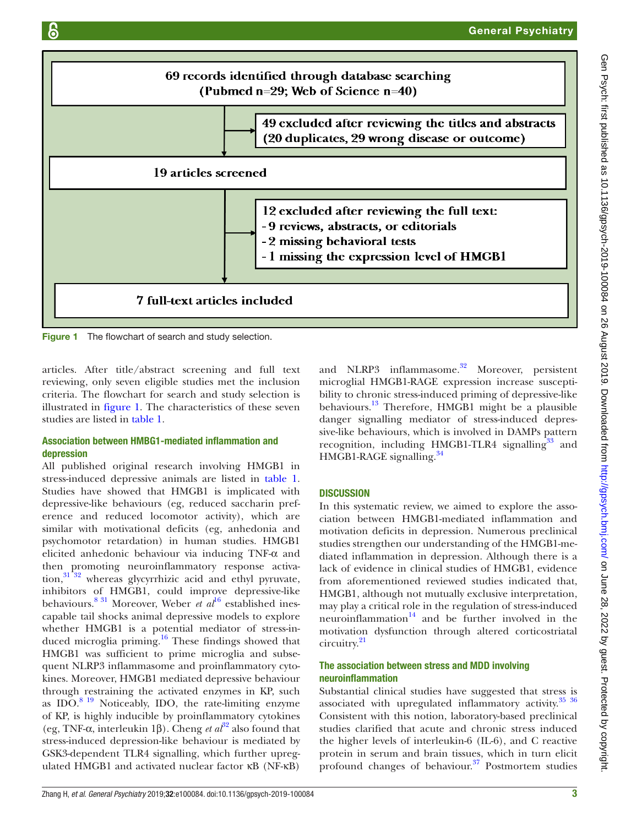

<span id="page-2-0"></span>Figure 1 The flowchart of search and study selection.

articles. After title/abstract screening and full text reviewing, only seven eligible studies met the inclusion criteria. The flowchart for search and study selection is illustrated in [figure](#page-2-0) 1. The characteristics of these seven studies are listed in [table](#page-3-0) 1.

#### Association between HMBG1-mediated inflammation and depression

All published original research involving HMGB1 in stress-induced depressive animals are listed in [table](#page-3-0) 1. Studies have showed that HMGB1 is implicated with depressive-like behaviours (eg, reduced saccharin preference and reduced locomotor activity), which are similar with motivational deficits (eg, anhedonia and psychomotor retardation) in human studies. HMGB1 elicited anhedonic behaviour via inducing TNF-α and then promoting neuroinflammatory response activation, $31\overline{32}$  whereas glycyrrhizic acid and ethyl pyruvate, inhibitors of HMGB1, could improve depressive-like behaviours.<sup>8 31</sup> Moreover, Weber *et al*<sup>[16](#page-7-5)</sup> established inescapable tail shocks animal depressive models to explore whether HMGB1 is a potential mediator of stress-induced microglia priming[.16](#page-7-5) These findings showed that HMGB1 was sufficient to prime microglia and subsequent NLRP3 inflammasome and proinflammatory cytokines. Moreover, HMGB1 mediated depressive behaviour through restraining the activated enzymes in KP, such as  $IDO.<sup>8 19</sup>$  $IDO.<sup>8 19</sup>$  $IDO.<sup>8 19</sup>$  Noticeably, IDO, the rate-limiting enzyme of KP, is highly inducible by proinflammatory cytokines (eg, TNF-α, interleukin 1β). Cheng *et al*[32](#page-7-18) also found that stress-induced depression-like behaviour is mediated by GSK3-dependent TLR4 signalling, which further upregulated HMGB1 and activated nuclear factor κB (NF-κB)

and NLRP3 inflammasome.<sup>32</sup> Moreover, persistent microglial HMGB1-RAGE expression increase susceptibility to chronic stress-induced priming of depressive-like behaviours.[13](#page-7-2) Therefore, HMGB1 might be a plausible danger signalling mediator of stress-induced depressive-like behaviours, which is involved in DAMPs pattern recognition, including HMGB1-TLR4 signalling<sup>33</sup> and HMGB1-RAGE signalling.<sup>34</sup>

#### **DISCUSSION**

In this systematic review, we aimed to explore the association between HMGB1-mediated inflammation and motivation deficits in depression. Numerous preclinical studies strengthen our understanding of the HMGB1-mediated inflammation in depression. Although there is a lack of evidence in clinical studies of HMGB1, evidence from aforementioned reviewed studies indicated that, HMGB1, although not mutually exclusive interpretation, may play a critical role in the regulation of stress-induced neuroinflammation $14$  and be further involved in the motivation dysfunction through altered corticostriatal circuitry[.21](#page-7-10)

## The association between stress and MDD involving neuroinflammation

Substantial clinical studies have suggested that stress is associated with upregulated inflammatory activity. $35\frac{36}{10}$ Consistent with this notion, laboratory-based preclinical studies clarified that acute and chronic stress induced the higher levels of interleukin-6 (IL-6), and C reactive protein in serum and brain tissues, which in turn elicit profound changes of behaviour. $37$  Postmortem studies

Gen Psych: first published as 10.1136/gpsych-2019-100084 on 26 August 2019. Downloaded from http://gpsych.bmj.com/ on June 28, 2022 by guest. Protected by copyrigh Gen Psych: first published as 10.1136/gpsych-2019-100084 on 26 August 2019. Downloaded from <http://gpsych.bmj.com/> on June 28, 2022 by guest. Protected by copyright.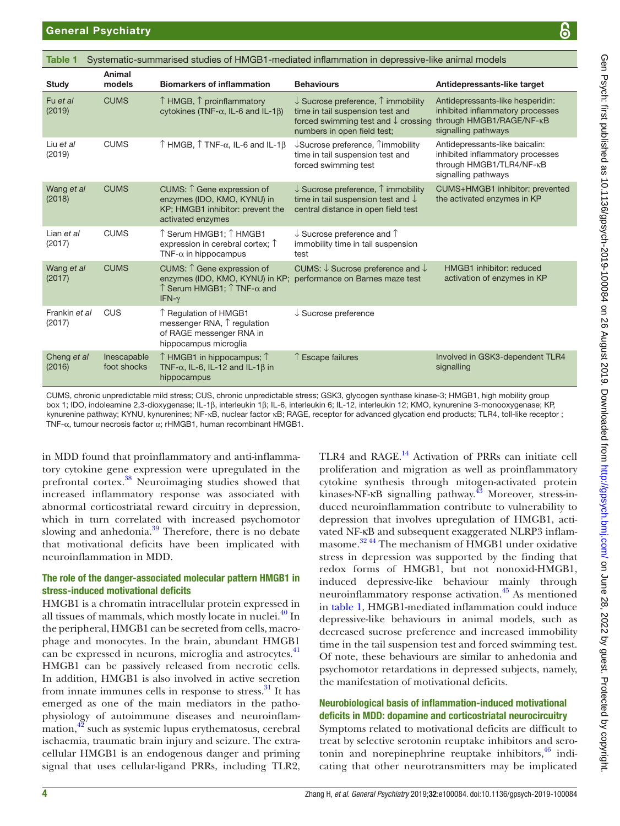<span id="page-3-0"></span>

| ၆<br><b>General Psychiatry</b> |                                                                                                                                   |                                                                                                   |                                                                                                                                                                             |                                                                                                                         |  |  |
|--------------------------------|-----------------------------------------------------------------------------------------------------------------------------------|---------------------------------------------------------------------------------------------------|-----------------------------------------------------------------------------------------------------------------------------------------------------------------------------|-------------------------------------------------------------------------------------------------------------------------|--|--|
| Table 1                        |                                                                                                                                   |                                                                                                   | Systematic-summarised studies of HMGB1-mediated inflammation in depressive-like animal models                                                                               |                                                                                                                         |  |  |
| <b>Study</b>                   | Animal<br>models                                                                                                                  | <b>Biomarkers of inflammation</b>                                                                 | <b>Behaviours</b>                                                                                                                                                           | Antidepressants-like target                                                                                             |  |  |
| Fu et al<br>(2019)             | <b>CUMS</b>                                                                                                                       | $\uparrow$ HMGB, $\uparrow$ proinflammatory<br>cytokines (TNF- $\alpha$ , IL-6 and IL-1 $\beta$ ) | $\downarrow$ Sucrose preference, $\uparrow$ immobility<br>time in tail suspension test and<br>forced swimming test and $\downarrow$ crossing<br>numbers in open field test; | Antidepressants-like hesperidin:<br>inhibited inflammatory processes<br>through HMGB1/RAGE/NF-κB<br>signalling pathways |  |  |
| Liu et al<br>(2019)            | <b>CUMS</b>                                                                                                                       | $\uparrow$ HMGB, $\uparrow$ TNF- $\alpha$ , IL-6 and IL-1 $\beta$                                 | $\downarrow$ Sucrose preference, $\uparrow$ immobility<br>time in tail suspension test and<br>forced swimming test                                                          | Antidepressants-like baicalin:<br>inhibited inflammatory processes<br>through HMGB1/TLR4/NF-κB<br>signalling pathways   |  |  |
| Wang et al<br>(2018)           | <b>CUMS</b><br>CUMS: 1 Gene expression of<br>enzymes (IDO, KMO, KYNU) in<br>KP; HMGB1 inhibitor: prevent the<br>activated enzymes |                                                                                                   | $\downarrow$ Sucrose preference, $\uparrow$ immobility<br>time in tail suspension test and $\downarrow$<br>central distance in open field test                              | CUMS+HMGB1 inhibitor: prevented<br>the activated enzymes in KP                                                          |  |  |
| Lian et al<br>(2017)           | <b>CUMS</b>                                                                                                                       | ↑Serum HMGB1; ↑HMGB1<br>expression in cerebral cortex; $\uparrow$<br>$TNF-\alpha$ in hippocampus  | $\downarrow$ Sucrose preference and $\uparrow$<br>immobility time in tail suspension<br>test                                                                                |                                                                                                                         |  |  |

enzymes (IDO, KMO, KYNU) in KP; performance on Barnes maze test

CUMS: ↓ Sucrose preference and ↓

↓ Sucrose preference

CUMS, chronic unpredictable mild stress; CUS, chronic unpredictable stress; GSK3, glycogen synthase kinase-3; HMGB1, high mobility group box 1; IDO, indoleamine 2,3-dioxygenase; IL-1β, interleukin 1β; IL-6, interleukin 6; IL-12, interleukin 12; KMO, kynurenine 3-monooxygenase; KP, kynurenine pathway; KYNU, kynurenines; NF-κB, nuclear factor κB; RAGE, receptor for advanced glycation end products; TLR4, toll-like receptor ; TNF-α, tumour necrosis factor α; rHMGB1, human recombinant HMGB1.

in MDD found that proinflammatory and anti-inflammatory cytokine gene expression were upregulated in the prefrontal cortex.[38](#page-7-23) Neuroimaging studies showed that increased inflammatory response was associated with abnormal corticostriatal reward circuitry in depression, which in turn correlated with increased psychomotor slowing and anhedonia. $39$  Therefore, there is no debate that motivational deficits have been implicated with neuroinflammation in MDD.

CUMS CUMS: ↑ Gene expression of

IFN-γ

Inescapable foot shocks

CUS ↑ Regulation of HMGB1

hippocampus

 $\uparrow$  Serum HMGB1;  $\uparrow$  TNF- $\alpha$  and

messenger RNA, ↑ regulation of RAGE messenger RNA in hippocampus microglia

↑ HMGB1 in hippocampus; ↑ TNF- $\alpha$ , IL-6, IL-12 and IL-1 $\beta$  in

#### The role of the danger-associated molecular pattern HMGB1 in stress-induced motivational deficits

HMGB1 is a chromatin intracellular protein expressed in all tissues of mammals, which mostly locate in nuclei.<sup>[40](#page-7-25)</sup> In the peripheral, HMGB1 can be secreted from cells, macrophage and monocytes. In the brain, abundant HMGB1 can be expressed in neurons, microglia and astrocytes.<sup>41</sup> HMGB1 can be passively released from necrotic cells. In addition, HMGB1 is also involved in active secretion from innate immunes cells in response to stress. $31$  It has emerged as one of the main mediators in the pathophysiology of autoimmune diseases and neuroinflammation, $42$  such as systemic lupus erythematosus, cerebral ischaemia, traumatic brain injury and seizure. The extracellular HMGB1 is an endogenous danger and priming signal that uses cellular-ligand PRRs, including TLR2,

TLR4 and RAGE.<sup>14</sup> Activation of PRRs can initiate cell proliferation and migration as well as proinflammatory cytokine synthesis through mitogen-activated protein kinases-NF-κB signalling pathway[.43](#page-7-28) Moreover, stress-induced neuroinflammation contribute to vulnerability to depression that involves upregulation of HMGB1, activated NF-κB and subsequent exaggerated NLRP3 inflammasome.[32 44](#page-7-18) The mechanism of HMGB1 under oxidative stress in depression was supported by the finding that redox forms of HMGB1, but not nonoxid-HMGB1, induced depressive-like behaviour mainly through neuroinflammatory response activation[.45](#page-7-29) As mentioned in [table](#page-3-0) 1, HMGB1-mediated inflammation could induce depressive-like behaviours in animal models, such as decreased sucrose preference and increased immobility time in the tail suspension test and forced swimming test. Of note, these behaviours are similar to anhedonia and psychomotor retardations in depressed subjects, namely, the manifestation of motivational deficits.

↑ Escape failures Involved in GSK3-dependent TLR4

signalling

HMGB1 inhibitor: reduced activation of enzymes in KP

#### Neurobiological basis of inflammation-induced motivational deficits in MDD: dopamine and corticostriatal neurocircuitry

Symptoms related to motivational deficits are difficult to treat by selective serotonin reuptake inhibitors and serotonin and norepinephrine reuptake inhibitors, $46$  indicating that other neurotransmitters may be implicated

Wang *et al* (2017)

Frankin *et al* (2017)

Cheng *et al* (2016)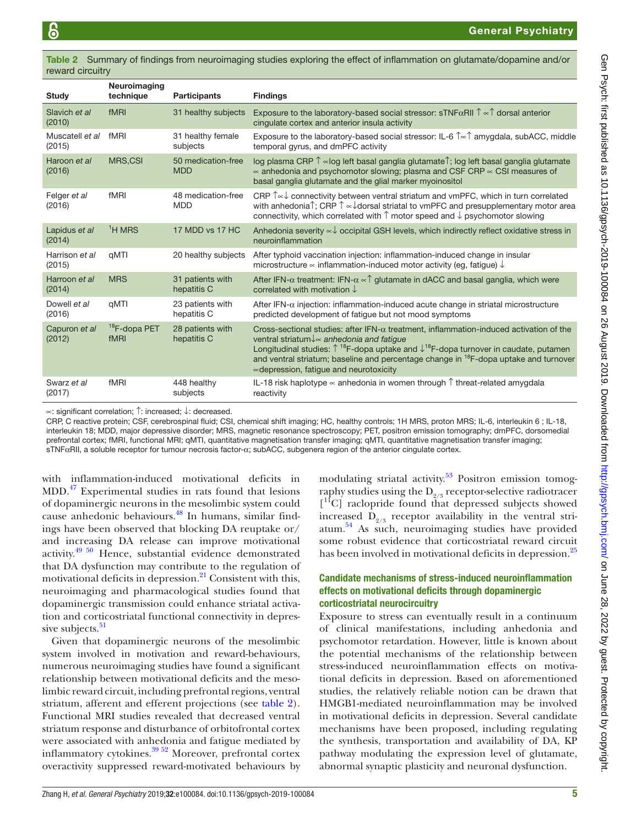<span id="page-4-0"></span>Table 2 Summary of findings from neuroimaging studies exploring the effect of inflammation on glutamate/dopamine and/or reward circuitry

| Study                     | Neuroimaging<br>technique        | <b>Participants</b>              | <b>Findings</b>                                                                                                                                                                                                                                                                                                                                                                                                                       |
|---------------------------|----------------------------------|----------------------------------|---------------------------------------------------------------------------------------------------------------------------------------------------------------------------------------------------------------------------------------------------------------------------------------------------------------------------------------------------------------------------------------------------------------------------------------|
| Slavich et al.<br>(2010)  | fMRI                             | 31 healthy subjects              | Exposure to the laboratory-based social stressor: sTNF $\alpha$ RII $\uparrow \infty \uparrow$ dorsal anterior<br>cingulate cortex and anterior insula activity                                                                                                                                                                                                                                                                       |
| Muscatell et al<br>(2015) | fMRI                             | 31 healthy female<br>subjects    | Exposure to the laboratory-based social stressor: IL-6 $\text{Tr} \in \mathbb{R}$ amygdala, subACC, middle<br>temporal gyrus, and dmPFC activity                                                                                                                                                                                                                                                                                      |
| Haroon et al<br>(2016)    | MRS,CSI                          | 50 medication-free<br><b>MDD</b> | log plasma CRP Î ∝log left basal ganglia glutamate Î; log left basal ganglia glutamate<br>$\alpha$ anhedonia and psychomotor slowing; plasma and CSF CRP $\alpha$ CSI measures of<br>basal ganglia glutamate and the glial marker myoinositol                                                                                                                                                                                         |
| Felger et al<br>(2016)    | fMRI                             | 48 medication-free<br><b>MDD</b> | CRP Î∝↓ connectivity between ventral striatum and vmPFC, which in turn correlated<br>with anhedonia $\hat{\Gamma}$ ; CRP $\hat{\Gamma} \propto \downarrow$ dorsal striatal to vmPFC and presupplementary motor area<br>connectivity, which correlated with $\uparrow$ motor speed and $\downarrow$ psychomotor slowing                                                                                                                |
| Lapidus et al<br>(2014)   | ${}^{1}H$ MRS                    | 17 MDD vs 17 HC                  | Anhedonia severity $\sim\downarrow$ occipital GSH levels, which indirectly reflect oxidative stress in<br>neuroinflammation                                                                                                                                                                                                                                                                                                           |
| Harrison et al<br>(2015)  | aMTI                             | 20 healthy subjects              | After typhoid vaccination injection: inflammation-induced change in insular<br>microstructure $\infty$ inflammation-induced motor activity (eq. fatique) $\downarrow$                                                                                                                                                                                                                                                                 |
| Harroon et al<br>(2014)   | <b>MRS</b>                       | 31 patients with<br>hepatitis C  | After IFN- $\alpha$ treatment: IFN- $\alpha \propto \hat{\beta}$ glutamate in dACC and basal ganglia, which were<br>correlated with motivation $\downarrow$                                                                                                                                                                                                                                                                           |
| Dowell et al<br>(2016)    | qMTI                             | 23 patients with<br>hepatitis C  | After IFN- $\alpha$ injection: inflammation-induced acute change in striatal microstructure<br>predicted development of fatique but not mood symptoms                                                                                                                                                                                                                                                                                 |
| Capuron et al<br>(2012)   | <sup>18</sup> F-dopa PET<br>fMRI | 28 patients with<br>hepatitis C  | Cross-sectional studies: after IFN- $\alpha$ treatment, inflammation-induced activation of the<br>ventral striatum ↓ ~ anhedonia and fatigue<br>Longitudinal studies: $\uparrow$ <sup>18</sup> F-dopa uptake and $\downarrow$ <sup>18</sup> F-dopa turnover in caudate, putamen<br>and ventral striatum; baseline and percentage change in <sup>18</sup> F-dopa uptake and turnover<br>$\infty$ depression, fatique and neurotoxicity |
| Swarz et al<br>(2017)     | fMRI                             | 448 healthy<br>subjects          | IL-18 risk haplotype $\sim$ anhedonia in women through $\uparrow$ threat-related amygdala<br>reactivity                                                                                                                                                                                                                                                                                                                               |

∝: significant correlation; ↑: increased; ↓: decreased.

CRP, C reactive protein; CSF, cerebrospinal fluid; CSI, chemical shift imaging; HC, healthy controls; 1H MRS, proton MRS; IL-6, interleukin 6 ; IL-18, interleukin 18; MDD, major depressive disorder; MRS, magnetic resonance spectroscopy; PET, positron emission tomography; dmPFC, dorsomedial prefrontal cortex; fMRI, functional MRI; qMTI, quantitative magnetisation transfer imaging; qMTI, quantitative magnetisation transfer imaging; sTNFαRII, a soluble receptor for tumour necrosis factor-α; subACC, subgenera region of the anterior cingulate cortex.

with inflammation-induced motivational deficits in MDD.[47](#page-7-31) Experimental studies in rats found that lesions of dopaminergic neurons in the mesolimbic system could cause anhedonic behaviours.[48](#page-7-32) In humans, similar findings have been observed that blocking DA reuptake or/ and increasing DA release can improve motivational activity[.49 50](#page-7-33) Hence, substantial evidence demonstrated that DA dysfunction may contribute to the regulation of motivational deficits in depression.<sup>21</sup> Consistent with this, neuroimaging and pharmacological studies found that dopaminergic transmission could enhance striatal activation and corticostriatal functional connectivity in depressive subjects. $51$ 

Given that dopaminergic neurons of the mesolimbic system involved in motivation and reward-behaviours, numerous neuroimaging studies have found a significant relationship between motivational deficits and the mesolimbic reward circuit, including prefrontal regions, ventral striatum, afferent and efferent projections (see [table](#page-4-0) 2). Functional MRI studies revealed that decreased ventral striatum response and disturbance of orbitofrontal cortex were associated with anhedonia and fatigue mediated by inflammatory cytokines. $39\,52$  Moreover, prefrontal cortex overactivity suppressed reward-motivated behaviours by

modulating striatal activity.<sup>53</sup> Positron emission tomography studies using the  $D_{2/3}$  receptor-selective radiotracer [<sup>11</sup>C] raclopride found that depressed subjects showed increased  $\bar{D}_{9/3}$  receptor availability in the ventral striatum.[54](#page-7-36) As such, neuroimaging studies have provided some robust evidence that corticostriatal reward circuit has been involved in motivational deficits in depression.<sup>[25](#page-7-37)</sup>

#### Candidate mechanisms of stress-induced neuroinflammation effects on motivational deficits through dopaminergic corticostriatal neurocircuitry

Exposure to stress can eventually result in a continuum of clinical manifestations, including anhedonia and psychomotor retardation. However, little is known about the potential mechanisms of the relationship between stress-induced neuroinflammation effects on motivational deficits in depression. Based on aforementioned studies, the relatively reliable notion can be drawn that HMGB1-mediated neuroinflammation may be involved in motivational deficits in depression. Several candidate mechanisms have been proposed, including regulating the synthesis, transportation and availability of DA, KP pathway modulating the expression level of glutamate, abnormal synaptic plasticity and neuronal dysfunction.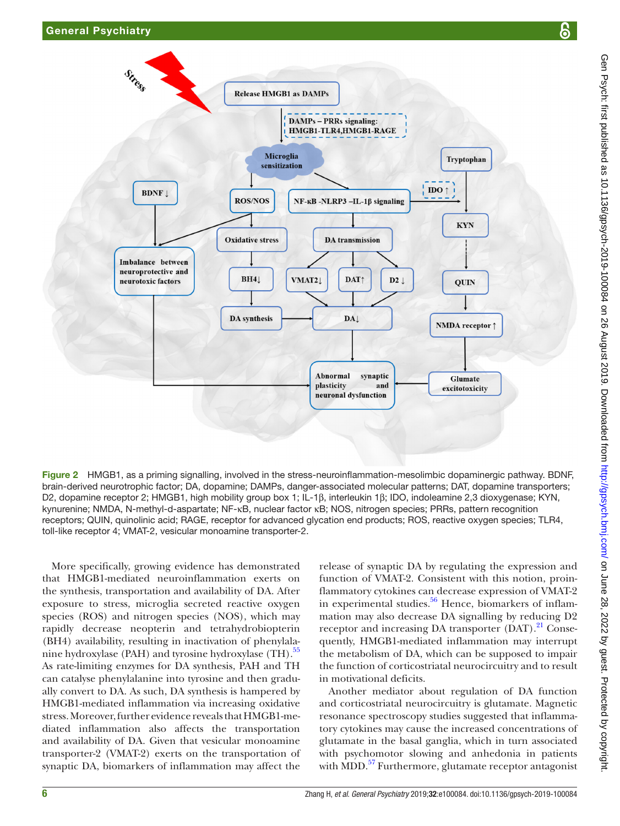

<span id="page-5-0"></span>Figure 2 HMGB1, as a priming signalling, involved in the stress-neuroinflammation-mesolimbic dopaminergic pathway. BDNF, brain-derived neurotrophic factor; DA, dopamine; DAMPs, danger-associated molecular patterns; DAT, dopamine transporters; D2, dopamine receptor 2; HMGB1, high mobility group box 1; IL-1β, interleukin 1β; IDO, indoleamine 2,3 dioxygenase; KYN, kynurenine; NMDA, N-methyl-d-aspartate; NF-κB, nuclear factor κB; NOS, nitrogen species; PRRs, pattern recognition receptors; QUIN, quinolinic acid; RAGE, receptor for advanced glycation end products; ROS, reactive oxygen species; TLR4, toll-like receptor 4; VMAT-2, vesicular monoamine transporter-2.

More specifically, growing evidence has demonstrated that HMGB1-mediated neuroinflammation exerts on the synthesis, transportation and availability of DA. After exposure to stress, microglia secreted reactive oxygen species (ROS) and nitrogen species (NOS), which may rapidly decrease neopterin and tetrahydrobiopterin (BH4) availability, resulting in inactivation of phenylalanine hydroxylase (PAH) and tyrosine hydroxylase (TH).<sup>55</sup> As rate-limiting enzymes for DA synthesis, PAH and TH can catalyse phenylalanine into tyrosine and then gradually convert to DA. As such, DA synthesis is hampered by HMGB1-mediated inflammation via increasing oxidative stress. Moreover, further evidence reveals that HMGB1-mediated inflammation also affects the transportation and availability of DA. Given that vesicular monoamine transporter-2 (VMAT-2) exerts on the transportation of synaptic DA, biomarkers of inflammation may affect the

release of synaptic DA by regulating the expression and function of VMAT-2. Consistent with this notion, proinflammatory cytokines can decrease expression of VMAT-2 in experimental studies. $56$  Hence, biomarkers of inflammation may also decrease DA signalling by reducing D2 receptor and increasing DA transporter  $(DAT)$ .<sup>21</sup> Consequently, HMGB1-mediated inflammation may interrupt the metabolism of DA, which can be supposed to impair the function of corticostriatal neurocircuitry and to result in motivational deficits.

Another mediator about regulation of DA function and corticostriatal neurocircuitry is glutamate. Magnetic resonance spectroscopy studies suggested that inflammatory cytokines may cause the increased concentrations of glutamate in the basal ganglia, which in turn associated with psychomotor slowing and anhedonia in patients with MDD.<sup>57</sup> Furthermore, glutamate receptor antagonist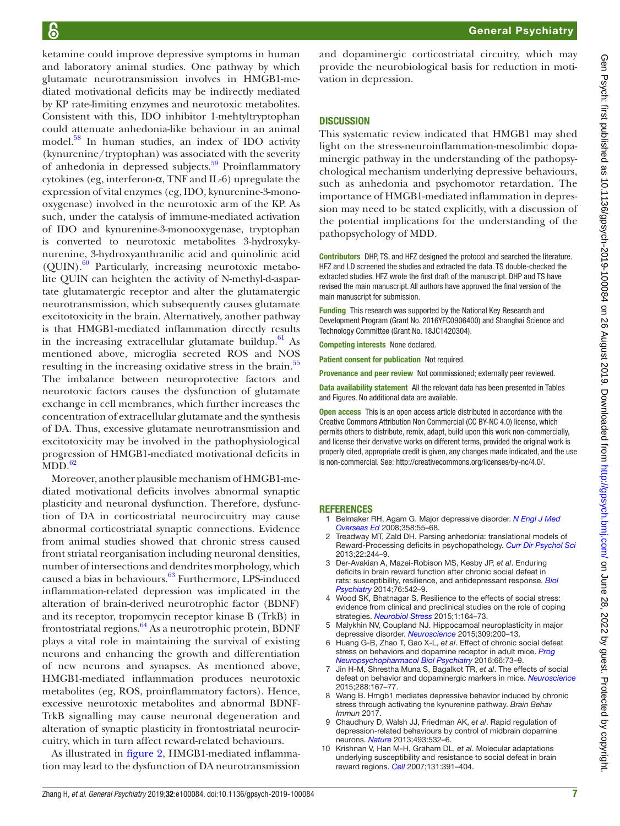ketamine could improve depressive symptoms in human and laboratory animal studies. One pathway by which glutamate neurotransmission involves in HMGB1-mediated motivational deficits may be indirectly mediated by KP rate-limiting enzymes and neurotoxic metabolites. Consistent with this, IDO inhibitor 1-mehtyltryptophan could attenuate anhedonia-like behaviour in an animal model.<sup>58</sup> In human studies, an index of IDO activity (kynurenine/tryptophan) was associated with the severity of anhedonia in depressed subjects.<sup>59</sup> Proinflammatory cytokines (eg, interferon-α, TNF and IL-6) upregulate the expression of vital enzymes (eg, IDO, kynurenine-3-monooxygenase) involved in the neurotoxic arm of the KP. As such, under the catalysis of immune-mediated activation of IDO and kynurenine-3-monooxygenase, tryptophan is converted to neurotoxic metabolites 3-hydroxykynurenine, 3-hydroxyanthranilic acid and quinolinic acid  $(QUIN).<sup>60</sup>$  Particularly, increasing neurotoxic metabolite QUIN can heighten the activity of N-methyl-d-aspartate glutamatergic receptor and alter the glutamatergic neurotransmission, which subsequently causes glutamate excitotoxicity in the brain. Alternatively, another pathway is that HMGB1-mediated inflammation directly results in the increasing extracellular glutamate buildup. $61$  As mentioned above, microglia secreted ROS and NOS resulting in the increasing oxidative stress in the brain.<sup>55</sup> The imbalance between neuroprotective factors and neurotoxic factors causes the dysfunction of glutamate exchange in cell membranes, which further increases the concentration of extracellular glutamate and the synthesis of DA. Thus, excessive glutamate neurotransmission and excitotoxicity may be involved in the pathophysiological progression of HMGB1-mediated motivational deficits in  $MDD.<sub>62</sub>$  $MDD.<sub>62</sub>$  $MDD.<sub>62</sub>$ 

Moreover, another plausible mechanism of HMGB1-mediated motivational deficits involves abnormal synaptic plasticity and neuronal dysfunction. Therefore, dysfunction of DA in corticostriatal neurocircuitry may cause abnormal corticostriatal synaptic connections. Evidence from animal studies showed that chronic stress caused front striatal reorganisation including neuronal densities, number of intersections and dendrites morphology, which caused a bias in behaviours.<sup>[63](#page-8-3)</sup> Furthermore, LPS-induced inflammation-related depression was implicated in the alteration of brain-derived neurotrophic factor (BDNF) and its receptor, tropomycin receptor kinase B (TrkB) in frontostriatal regions. $64$  As a neurotrophic protein, BDNF plays a vital role in maintaining the survival of existing neurons and enhancing the growth and differentiation of new neurons and synapses. As mentioned above, HMGB1-mediated inflammation produces neurotoxic metabolites (eg, ROS, proinflammatory factors). Hence, excessive neurotoxic metabolites and abnormal BDNF-TrkB signalling may cause neuronal degeneration and alteration of synaptic plasticity in frontostriatal neurocircuitry, which in turn affect reward-related behaviours.

As illustrated in [figure](#page-5-0) 2, HMGB1-mediated inflammation may lead to the dysfunction of DA neurotransmission and dopaminergic corticostriatal circuitry, which may provide the neurobiological basis for reduction in motivation in depression.

#### **DISCUSSION**

This systematic review indicated that HMGB1 may shed light on the stress-neuroinflammation-mesolimbic dopaminergic pathway in the understanding of the pathopsychological mechanism underlying depressive behaviours, such as anhedonia and psychomotor retardation. The importance of HMGB1-mediated inflammation in depression may need to be stated explicitly, with a discussion of the potential implications for the understanding of the pathopsychology of MDD.

Contributors DHP, TS, and HFZ designed the protocol and searched the literature. HFZ and LD screened the studies and extracted the data. TS double-checked the extracted studies. HFZ wrote the first draft of the manuscript. DHP and TS have revised the main manuscript. All authors have approved the final version of the main manuscript for submission.

Funding This research was supported by the National Key Research and Development Program (Grant No. 2016YFC0906400) and Shanghai Science and Technology Committee (Grant No. 18JC1420304).

Competing interests None declared.

Patient consent for publication Not required.

Provenance and peer review Not commissioned; externally peer reviewed.

Data availability statement All the relevant data has been presented in Tables and Figures. No additional data are available.

Open access This is an open access article distributed in accordance with the Creative Commons Attribution Non Commercial (CC BY-NC 4.0) license, which permits others to distribute, remix, adapt, build upon this work non-commercially, and license their derivative works on different terms, provided the original work is properly cited, appropriate credit is given, any changes made indicated, and the use is non-commercial. See: [http://creativecommons.org/licenses/by-nc/4.0/.](http://creativecommons.org/licenses/by-nc/4.0/)

#### **REFERENCES**

- <span id="page-6-0"></span>1 Belmaker RH, Agam G. Major depressive disorder. *[N Engl J Med](http://dx.doi.org/10.1056/NEJMra073096)  [Overseas Ed](http://dx.doi.org/10.1056/NEJMra073096)* 2008;358:55–68.
- <span id="page-6-1"></span>2 Treadway MT, Zald DH. Parsing anhedonia: translational models of Reward-Processing deficits in psychopathology. *[Curr Dir Psychol Sci](http://dx.doi.org/10.1177/0963721412474460)* 2013;22:244–9.
- <span id="page-6-2"></span>3 Der-Avakian A, Mazei-Robison MS, Kesby JP, *et al*. Enduring deficits in brain reward function after chronic social defeat in rats: susceptibility, resilience, and antidepressant response. *[Biol](http://dx.doi.org/10.1016/j.biopsych.2014.01.013)  [Psychiatry](http://dx.doi.org/10.1016/j.biopsych.2014.01.013)* 2014;76:542–9.
- Wood SK, Bhatnagar S. Resilience to the effects of social stress: evidence from clinical and preclinical studies on the role of coping strategies. *[Neurobiol Stress](http://dx.doi.org/10.1016/j.ynstr.2014.11.002)* 2015;1:164–73.
- <span id="page-6-3"></span>Malykhin NV, Coupland NJ. Hippocampal neuroplasticity in major depressive disorder. *[Neuroscience](http://dx.doi.org/10.1016/j.neuroscience.2015.04.047)* 2015;309:200–13.
- <span id="page-6-4"></span>6 Huang G-B, Zhao T, Gao X-L, *et al*. Effect of chronic social defeat stress on behaviors and dopamine receptor in adult mice. *[Prog](http://dx.doi.org/10.1016/j.pnpbp.2015.12.002)  [Neuropsychopharmacol Biol Psychiatry](http://dx.doi.org/10.1016/j.pnpbp.2015.12.002)* 2016;66:73–9.
- 7 Jin H-M, Shrestha Muna S, Bagalkot TR, *et al*. The effects of social defeat on behavior and dopaminergic markers in mice. *[Neuroscience](http://dx.doi.org/10.1016/j.neuroscience.2014.12.043)* 2015;288:167–77.
- <span id="page-6-6"></span>8 Wang B. Hmgb1 mediates depressive behavior induced by chronic stress through activating the kynurenine pathway. *Brain Behav Immun* 2017.
- <span id="page-6-5"></span>9 Chaudhury D, Walsh JJ, Friedman AK, *et al*. Rapid regulation of depression-related behaviours by control of midbrain dopamine neurons. *[Nature](http://dx.doi.org/10.1038/nature11713)* 2013;493:532–6.
- 10 Krishnan V, Han M-H, Graham DL, *et al*. Molecular adaptations underlying susceptibility and resistance to social defeat in brain reward regions. *[Cell](http://dx.doi.org/10.1016/j.cell.2007.09.018)* 2007;131:391–404.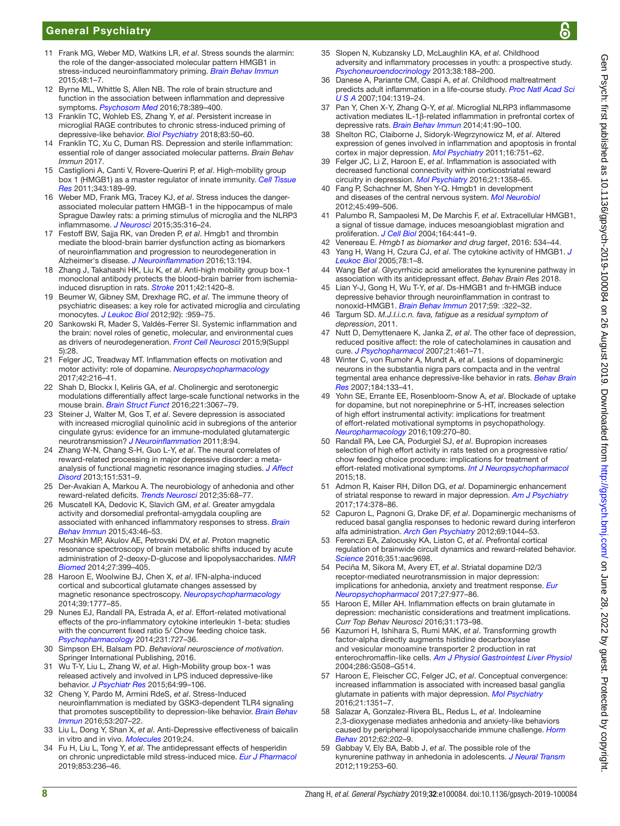- <span id="page-7-0"></span>11 Frank MG, Weber MD, Watkins LR, *et al*. Stress sounds the alarmin: the role of the danger-associated molecular pattern HMGB1 in stress-induced neuroinflammatory priming. *[Brain Behav Immun](http://dx.doi.org/10.1016/j.bbi.2015.03.010)* 2015;48:1–7.
- <span id="page-7-1"></span>12 Byrne ML, Whittle S, Allen NB. The role of brain structure and function in the association between inflammation and depressive symptoms. *[Psychosom Med](http://dx.doi.org/10.1097/PSY.0000000000000311)* 2016;78:389–400.
- <span id="page-7-2"></span>13 Franklin TC, Wohleb ES, Zhang Y, *et al*. Persistent increase in microglial RAGE contributes to chronic stress-induced priming of depressive-like behavior. *[Biol Psychiatry](http://dx.doi.org/10.1016/j.biopsych.2017.06.034)* 2018;83:50–60.
- <span id="page-7-3"></span>14 Franklin TC, Xu C, Duman RS. Depression and sterile inflammation: essential role of danger associated molecular patterns. *Brain Behav Immun* 2017.
- <span id="page-7-4"></span>15 Castiglioni A, Canti V, Rovere-Querini P, *et al*. High-mobility group box 1 (HMGB1) as a master regulator of innate immunity. *[Cell Tissue](http://dx.doi.org/10.1007/s00441-010-1033-1)  [Res](http://dx.doi.org/10.1007/s00441-010-1033-1)* 2011;343:189–99.
- <span id="page-7-5"></span>16 Weber MD, Frank MG, Tracey KJ, *et al*. Stress induces the dangerassociated molecular pattern HMGB-1 in the hippocampus of male Sprague Dawley rats: a priming stimulus of microglia and the NLRP3 inflammasome. *[J Neurosci](http://dx.doi.org/10.1523/JNEUROSCI.3561-14.2015)* 2015;35:316–24.
- <span id="page-7-6"></span>17 Festoff BW, Sajja RK, van Dreden P, *et al*. Hmgb1 and thrombin mediate the blood-brain barrier dysfunction acting as biomarkers of neuroinflammation and progression to neurodegeneration in Alzheimer's disease. *[J Neuroinflammation](http://dx.doi.org/10.1186/s12974-016-0670-z)* 2016;13:194.
- <span id="page-7-7"></span>18 Zhang J, Takahashi HK, Liu K, *et al*. Anti-high mobility group box-1 monoclonal antibody protects the blood-brain barrier from ischemiainduced disruption in rats. *[Stroke](http://dx.doi.org/10.1161/STROKEAHA.110.598334)* 2011;42:1420–8.
- <span id="page-7-8"></span>19 Beumer W, Gibney SM, Drexhage RC, *et al*. The immune theory of psychiatric diseases: a key role for activated microglia and circulating monocytes. *[J Leukoc Biol](http://dx.doi.org/10.1189/jlb.0212100)* 2012;92): :959–75.
- <span id="page-7-9"></span>20 Sankowski R, Mader S, Valdés-Ferrer SI. Systemic inflammation and the brain: novel roles of genetic, molecular, and environmental cues as drivers of neurodegeneration. *[Front Cell Neurosci](http://dx.doi.org/10.3389/fncel.2015.00028)* 2015;9(Suppl 5):28.
- <span id="page-7-10"></span>21 Felger JC, Treadway MT. Inflammation effects on motivation and motor activity: role of dopamine. *[Neuropsychopharmacology](http://dx.doi.org/10.1038/npp.2016.143)* 2017;42:216–41.
- 22 Shah D, Blockx I, Keliris GA, *et al*. Cholinergic and serotonergic modulations differentially affect large-scale functional networks in the mouse brain. *[Brain Struct Funct](http://dx.doi.org/10.1007/s00429-015-1087-7)* 2016;221:3067–79.
- <span id="page-7-11"></span>23 Steiner J, Walter M, Gos T, *et al*. Severe depression is associated with increased microglial quinolinic acid in subregions of the anterior cingulate gyrus: evidence for an immune-modulated glutamatergic neurotransmission? *[J Neuroinflammation](http://dx.doi.org/10.1186/1742-2094-8-94)* 2011;8:94.
- <span id="page-7-12"></span>24 Zhang W-N, Chang S-H, Guo L-Y, *et al*. The neural correlates of reward-related processing in major depressive disorder: a metaanalysis of functional magnetic resonance imaging studies. *[J Affect](http://dx.doi.org/10.1016/j.jad.2013.06.039)  [Disord](http://dx.doi.org/10.1016/j.jad.2013.06.039)* 2013;151:531–9.
- <span id="page-7-37"></span>25 Der-Avakian A, Markou A. The neurobiology of anhedonia and other reward-related deficits. *[Trends Neurosci](http://dx.doi.org/10.1016/j.tins.2011.11.005)* 2012;35:68–77.
- <span id="page-7-13"></span>26 Muscatell KA, Dedovic K, Slavich GM, *et al*. Greater amygdala activity and dorsomedial prefrontal-amygdala coupling are associated with enhanced inflammatory responses to stress. *[Brain](http://dx.doi.org/10.1016/j.bbi.2014.06.201)  [Behav Immun](http://dx.doi.org/10.1016/j.bbi.2014.06.201)* 2015;43:46–53.
- 27 Moshkin MP, Akulov AE, Petrovski DV, *et al*. Proton magnetic resonance spectroscopy of brain metabolic shifts induced by acute administration of 2-deoxy-D-glucose and lipopolysaccharides. *[NMR](http://dx.doi.org/10.1002/nbm.3074)  [Biomed](http://dx.doi.org/10.1002/nbm.3074)* 2014;27:399–405.
- <span id="page-7-14"></span>28 Haroon E, Woolwine BJ, Chen X, *et al*. IFN-alpha-induced cortical and subcortical glutamate changes assessed by magnetic resonance spectroscopy. *[Neuropsychopharmacology](http://dx.doi.org/10.1038/npp.2014.25)* 2014;39:1777–85.
- <span id="page-7-15"></span>29 Nunes EJ, Randall PA, Estrada A, *et al*. Effort-related motivational effects of the pro-inflammatory cytokine interleukin 1-beta: studies with the concurrent fixed ratio 5/ Chow feeding choice task. *[Psychopharmacology](http://dx.doi.org/10.1007/s00213-013-3285-4)* 2014;231:727–36.
- <span id="page-7-16"></span>30 Simpson EH, Balsam PD. *Behavioral neuroscience of motivation*. Springer International Publishing, 2016.
- <span id="page-7-17"></span>31 Wu T-Y, Liu L, Zhang W, *et al*. High-Mobility group box-1 was released actively and involved in LPS induced depressive-like behavior. *[J Psychiatr Res](http://dx.doi.org/10.1016/j.jpsychires.2015.02.016)* 2015;64:99–106.
- <span id="page-7-18"></span>32 Cheng Y, Pardo M, Armini RdeS, *et al*. Stress-Induced neuroinflammation is mediated by GSK3-dependent TLR4 signaling that promotes susceptibility to depression-like behavior. *[Brain Behav](http://dx.doi.org/10.1016/j.bbi.2015.12.012)  [Immun](http://dx.doi.org/10.1016/j.bbi.2015.12.012)* 2016;53:207–22.
- <span id="page-7-19"></span>33 Liu L, Dong Y, Shan X, *et al*. Anti-Depressive effectiveness of baicalin in vitro and in vivo. *[Molecules](http://dx.doi.org/10.3390/molecules24020326)* 2019;24.
- <span id="page-7-20"></span>34 Fu H, Liu L, Tong Y, *et al*. The antidepressant effects of hesperidin on chronic unpredictable mild stress-induced mice. *[Eur J Pharmacol](http://dx.doi.org/10.1016/j.ejphar.2019.03.035)* 2019;853:236–46.
- <span id="page-7-21"></span>35 Slopen N, Kubzansky LD, McLaughlin KA, *et al*. Childhood adversity and inflammatory processes in youth: a prospective study. *[Psychoneuroendocrinology](http://dx.doi.org/10.1016/j.psyneuen.2012.05.013)* 2013;38:188–200.
- 36 Danese A, Pariante CM, Caspi A, *et al*. Childhood maltreatment predicts adult inflammation in a life-course study. *[Proc Natl Acad Sci](http://dx.doi.org/10.1073/pnas.0610362104)  [U S A](http://dx.doi.org/10.1073/pnas.0610362104)* 2007;104:1319–24.
- <span id="page-7-22"></span>37 Pan Y, Chen X-Y, Zhang Q-Y, *et al*. Microglial NLRP3 inflammasome activation mediates IL-1β-related inflammation in prefrontal cortex of depressive rats. *[Brain Behav Immun](http://dx.doi.org/10.1016/j.bbi.2014.04.007)* 2014;41:90–100.
- <span id="page-7-23"></span>38 Shelton RC, Claiborne J, Sidoryk-Wegrzynowicz M, *et al*. Altered expression of genes involved in inflammation and apoptosis in frontal cortex in major depression. *[Mol Psychiatry](http://dx.doi.org/10.1038/mp.2010.52)* 2011;16:751–62.
- <span id="page-7-24"></span>39 Felger JC, Li Z, Haroon E, *et al*. Inflammation is associated with decreased functional connectivity within corticostriatal reward circuitry in depression. *[Mol Psychiatry](http://dx.doi.org/10.1038/mp.2015.168)* 2016;21:1358–65.
- <span id="page-7-25"></span>40 Fang P, Schachner M, Shen Y-Q. Hmgb1 in development and diseases of the central nervous system. *[Mol Neurobiol](http://dx.doi.org/10.1007/s12035-012-8264-y)* 2012;45:499–506.
- <span id="page-7-26"></span>41 Palumbo R, Sampaolesi M, De Marchis F, *et al*. Extracellular HMGB1, a signal of tissue damage, induces mesoangioblast migration and proliferation. *[J Cell Biol](http://dx.doi.org/10.1083/jcb.200304135)* 2004;164:441–9.
- <span id="page-7-27"></span>42 Venereau E. *Hmgb1 as biomarker and drug target*, 2016: 534–44.
- <span id="page-7-28"></span>43 Yang H, Wang H, Czura CJ, *et al*. The cytokine activity of HMGB1. *[J](http://dx.doi.org/10.1189/jlb.1104648)  [Leukoc Biol](http://dx.doi.org/10.1189/jlb.1104648)* 2005;78:1–8.
- 44 Wang B*et al*. Glycyrrhizic acid ameliorates the kynurenine pathway in association with its antidepressant effect. *Behav Brain Res* 2018.
- <span id="page-7-29"></span>45 Lian Y-J, Gong H, Wu T-Y, *et al*. Ds-HMGB1 and fr-HMGB induce depressive behavior through neuroinflammation in contrast to nonoxid-HMGB1. *[Brain Behav Immun](http://dx.doi.org/10.1016/j.bbi.2016.09.017)* 2017;59: :322–32.
- <span id="page-7-30"></span>46 Targum SD. *M.J.I.i.c.n. fava, fatigue as a residual symptom of depression*, 2011.
- <span id="page-7-31"></span>47 Nutt D, Demyttenaere K, Janka Z, *et al*. The other face of depression, reduced positive affect: the role of catecholamines in causation and cure. *[J Psychopharmacol](http://dx.doi.org/10.1177/0269881106069938)* 2007;21:461–71.
- <span id="page-7-32"></span>48 Winter C, von Rumohr A, Mundt A, *et al*. Lesions of dopaminergic neurons in the substantia nigra pars compacta and in the ventral tegmental area enhance depressive-like behavior in rats. *[Behav Brain](http://dx.doi.org/10.1016/j.bbr.2007.07.002)  [Res](http://dx.doi.org/10.1016/j.bbr.2007.07.002)* 2007;184:133–41.
- <span id="page-7-33"></span>49 Yohn SE, Errante EE, Rosenbloom-Snow A, *et al*. Blockade of uptake for dopamine, but not norepinephrine or 5-HT, increases selection of high effort instrumental activity: implications for treatment of effort-related motivational symptoms in psychopathology. *[Neuropharmacology](http://dx.doi.org/10.1016/j.neuropharm.2016.06.018)* 2016;109:270–80.
- 50 Randall PA, Lee CA, Podurgiel SJ, *et al*. Bupropion increases selection of high effort activity in rats tested on a progressive ratio/ chow feeding choice procedure: implications for treatment of effort-related motivational symptoms. *[Int J Neuropsychopharmacol](http://dx.doi.org/10.1093/ijnp/pyu017)* 2015;18.
- <span id="page-7-34"></span>51 Admon R, Kaiser RH, Dillon DG, *et al*. Dopaminergic enhancement of striatal response to reward in major depression. *[Am J Psychiatry](http://dx.doi.org/10.1176/appi.ajp.2016.16010111)* 2017;174:378–86.
- 52 Capuron L, Pagnoni G, Drake DF, *et al*. Dopaminergic mechanisms of reduced basal ganglia responses to hedonic reward during interferon alfa administration. *[Arch Gen Psychiatry](http://dx.doi.org/10.1001/archgenpsychiatry.2011.2094)* 2012;69:1044–53.
- <span id="page-7-35"></span>53 Ferenczi EA, Zalocusky KA, Liston C, *et al*. Prefrontal cortical regulation of brainwide circuit dynamics and reward-related behavior. *[Science](http://dx.doi.org/10.1126/science.aac9698)* 2016;351:aac9698.
- <span id="page-7-36"></span>54 Peciña M, Sikora M, Avery ET, *et al*. Striatal dopamine D2/3 receptor-mediated neurotransmission in major depression: implications for anhedonia, anxiety and treatment response. *[Eur](http://dx.doi.org/10.1016/j.euroneuro.2017.08.427)  [Neuropsychopharmacol](http://dx.doi.org/10.1016/j.euroneuro.2017.08.427)* 2017;27:977–86.
- <span id="page-7-38"></span>55 Haroon E, Miller AH. Inflammation effects on brain glutamate in depression: mechanistic considerations and treatment implications. *Curr Top Behav Neurosci* 2016;31:173–98.
- <span id="page-7-39"></span>56 Kazumori H, Ishihara S, Rumi MAK, *et al*. Transforming growth factor-alpha directly augments histidine decarboxylase and vesicular monoamine transporter 2 production in rat enterochromaffin-like cells. *[Am J Physiol Gastrointest Liver Physiol](http://dx.doi.org/10.1152/ajpgi.00269.2003)* 2004;286:G508–G514.
- <span id="page-7-40"></span>57 Haroon E, Fleischer CC, Felger JC, *et al*. Conceptual convergence: increased inflammation is associated with increased basal ganglia glutamate in patients with major depression. *[Mol Psychiatry](http://dx.doi.org/10.1038/mp.2015.206)* 2016;21:1351–7.
- <span id="page-7-41"></span>58 Salazar A, Gonzalez-Rivera BL, Redus L, *et al*. Indoleamine 2,3-dioxygenase mediates anhedonia and anxiety-like behaviors caused by peripheral lipopolysaccharide immune challenge. *[Horm](http://dx.doi.org/10.1016/j.yhbeh.2012.03.010)  [Behav](http://dx.doi.org/10.1016/j.yhbeh.2012.03.010)* 2012;62:202–9.
- <span id="page-7-42"></span>Gabbay V, Ely BA, Babb J, et al. The possible role of the kynurenine pathway in anhedonia in adolescents. *[J Neural Transm](http://dx.doi.org/10.1007/s00702-011-0685-7)* 2012;119:253–60.